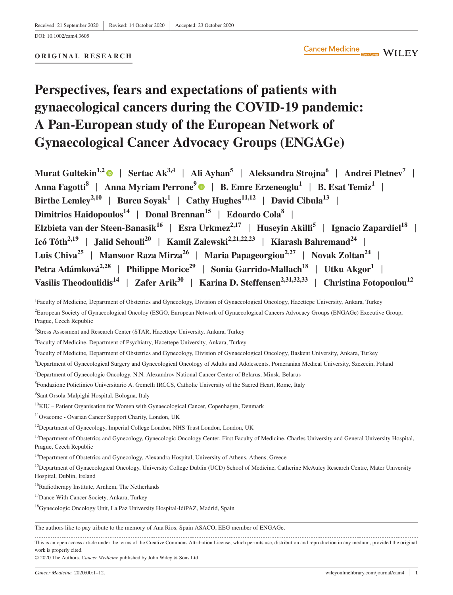#### **ORIGINAL RESEARCH**

# **Perspectives, fears and expectations of patients with gynaecological cancers during the COVID-19 pandemic: A Pan-European study of the European Network of Gynaecological Cancer Advocacy Groups (ENGAGe)**

**Murat Gultekin<sup>1,2</sup>**  $\bullet$  **| Sertac Ak<sup>3,4</sup> | Ali Ayhan<sup>5</sup> | Aleksandra Strojna<sup>6</sup> | Andrei Pletnev<sup>7</sup> | Anna Fagotti<sup>8</sup> | Anna Myriam Perrone<sup>9</sup> © | B. Emre Erzeneoglu<sup>1</sup> | B. Esat Temiz<sup>1</sup> | Birthe Lemley<sup>2,10</sup> | Burcu Soyak<sup>1</sup> | Cathy Hughes<sup>11,12</sup> | David Cibula<sup>13</sup> | Dimitrios Haidopoulos14** | **Donal Brennan15** | **Edoardo Cola8** | **Elzbieta van der Steen-Banasik<sup>16</sup> | Esra Urkmez<sup>2,17</sup> | Huseyin Akilli<sup>5</sup> | Ignacio Zapardiel<sup>18</sup> | Icó Tóth2,19** | **Jalid Sehouli20** | **Kamil Zalewski2,21,22,23** | **Kiarash Bahremand24** | Luis Chiva<sup>25</sup> | Mansoor Raza Mirza<sup>26</sup> | Maria Papageorgiou<sup>2,27</sup> | Novak Zoltan<sup>24</sup> | **Petra Adámková2,28** | **Philippe Morice<sup>29</sup>** | **Sonia Garrido-Mallach<sup>18</sup>** | **Utku Akgor1** | **Vasilis Theodoulidis<sup>14</sup> | Zafer Arik<sup>30</sup> | Karina D. Steffensen<sup>2,31,32,33</sup> | Christina Fotopoulou<sup>12</sup>** 

<sup>1</sup>Faculty of Medicine, Department of Obstetrics and Gynecology, Division of Gynaecological Oncology, Hacettepe University, Ankara, Turkey 2 European Society of Gynaecological Oncoloy (ESGO, European Network of Gynaecological Cancers Advocacy Groups (ENGAGe) Executive Group, Prague, Czech Republic

<sup>5</sup> Faculty of Medicine, Department of Obstetrics and Gynecology, Division of Gynaecological Oncology, Baskent University, Ankara, Turkey

6 Department of Gynecological Surgery and Gynecological Oncology of Adults and Adolescents, Pomeranian Medical University, Szczecin, Poland

7 Department of Gynecologic Oncology, N.N. Alexandrov National Cancer Center of Belarus, Minsk, Belarus

<sup>8</sup>Fondazione Policlinico Universitario A. Gemelli IRCCS, Catholic University of the Sacred Heart, Rome, Italy

9 Sant Orsola-Malpighi Hospital, Bologna, Italy

<sup>10</sup>KIU – Patient Organisation for Women with Gynaecological Cancer, Copenhagen, Denmark

<sup>11</sup>Ovacome - Ovarian Cancer Support Charity, London, UK

<sup>12</sup>Department of Gynecology, Imperial College London, NHS Trust London, London, UK

<sup>14</sup>Department of Obstetrics and Gynecology, Alexandra Hospital, University of Athens, Athens, Greece

<sup>15</sup>Department of Gynaecological Oncology, University College Dublin (UCD) School of Medicine, Catherine McAuley Research Centre, Mater University Hospital, Dublin, Ireland

<sup>16</sup>Radiotherapy Institute, Arnhem, The Netherlands

<sup>17</sup>Dance With Cancer Society, Ankara, Turkey

18Gynecologic Oncology Unit, La Paz University Hospital-IdiPAZ, Madrid, Spain

The authors like to pay tribute to the memory of Ana Rios, Spain ASACO, EEG member of ENGAGe.

This is an open access article under the terms of the [Creative Commons Attribution](http://creativecommons.org/licenses/by/4.0/) License, which permits use, distribution and reproduction in any medium, provided the original work is properly cited.

© 2020 The Authors. *Cancer Medicine* published by John Wiley & Sons Ltd.

<sup>&</sup>lt;sup>3</sup>Stress Assesment and Research Center (STAR, Hacettepe University, Ankara, Turkey

<sup>4</sup> Faculty of Medicine, Department of Psychiatry, Hacettepe University, Ankara, Turkey

<sup>&</sup>lt;sup>13</sup>Department of Obstetrics and Gynecology, Gynecologic Oncology Center, First Faculty of Medicine, Charles University and General University Hospital, Prague, Czech Republic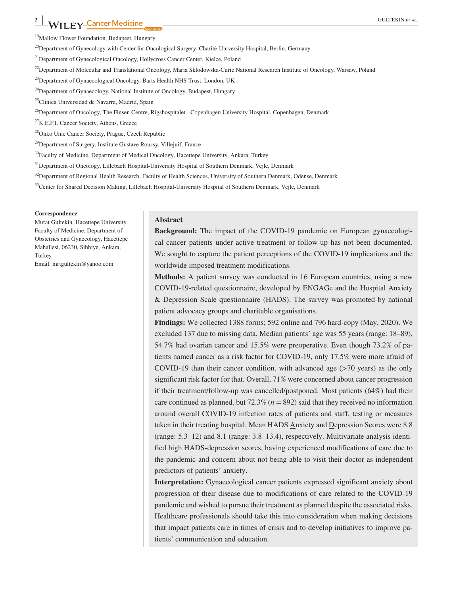# **<sup>2</sup> |** GULTEKIN et al.

19Mallow Flower Foundation, Budapest, Hungary

<sup>20</sup>Department of Gynecology with Center for Oncological Surgery, Charité-University Hospital, Berlin, Germany

<sup>21</sup>Department of Gynecological Oncology, Hollycross Cancer Center, Kielce, Poland

<sup>22</sup>Department of Molecular and Translational Oncology, Maria Sklodowska-Curie National Research Institute of Oncology, Warsaw, Poland

<sup>23</sup>Department of Gynaecological Oncology, Barts Health NHS Trust, London, UK

<sup>24</sup>Department of Gynaecology, National Institute of Oncology, Budapest, Hungary

25Clinica Universidad de Navarra, Madrid, Spain

<sup>26</sup>Department of Oncology, The Finsen Centre, Rigshospitalet - Copenhagen University Hospital, Copenhagen, Denmark

 $27$ K.E.F.I. Cancer Society, Athens, Greece

28Onko Unie Cancer Society, Prague, Czech Republic

<sup>29</sup>Department of Surgery, Institute Gustave Roussy, Villejuif, France

<sup>30</sup>Faculty of Medicine, Department of Medical Oncology, Hacettepe University, Ankara, Turkey

<sup>31</sup>Department of Oncology, Lillebaelt Hospital-University Hospital of Southern Denmark, Vejle, Denmark

 $32$ Department of Regional Health Research, Faculty of Health Sciences, University of Southern Denmark, Odense, Denmark

33Center for Shared Decision Making, Lillebaelt Hospital-University Hospital of Southern Denmark, Vejle, Denmark

#### **Correspondence**

Murat Gultekin, Hacettepe University Faculty of Medicine, Department of Obstetrics and Gynecology, Hacettepe Mahallesi, 06230, Sihhiye, Ankara, Turkey.

Email: [mrtgultekin@yahoo.com](mailto:mrtgultekin@yahoo.com)

#### **Abstract**

**Background:** The impact of the COVID-19 pandemic on European gynaecological cancer patients under active treatment or follow-up has not been documented. We sought to capture the patient perceptions of the COVID-19 implications and the worldwide imposed treatment modifications.

**Methods:** A patient survey was conducted in 16 European countries, using a new COVID-19-related questionnaire, developed by ENGAGe and the Hospital Anxiety & Depression Scale questionnaire (HADS). The survey was promoted by national patient advocacy groups and charitable organisations.

**Findings:** We collected 1388 forms; 592 online and 796 hard-copy (May, 2020). We excluded 137 due to missing data. Median patients' age was 55 years (range: 18–89), 54.7% had ovarian cancer and 15.5% were preoperative. Even though 73.2% of patients named cancer as a risk factor for COVID-19, only 17.5% were more afraid of COVID-19 than their cancer condition, with advanced age (>70 years) as the only significant risk factor for that. Overall, 71% were concerned about cancer progression if their treatment/follow-up was cancelled/postponed. Most patients (64%) had their care continued as planned, but  $72.3\%$  ( $n = 892$ ) said that they received no information around overall COVID-19 infection rates of patients and staff, testing or measures taken in their treating hospital. Mean HADS Anxiety and Depression Scores were 8.8 (range: 5.3–12) and 8.1 (range: 3.8–13.4), respectively. Multivariate analysis identified high HADS-depression scores, having experienced modifications of care due to the pandemic and concern about not being able to visit their doctor as independent predictors of patients' anxiety.

**Interpretation:** Gynaecological cancer patients expressed significant anxiety about progression of their disease due to modifications of care related to the COVID-19 pandemic and wished to pursue their treatment as planned despite the associated risks. Healthcare professionals should take this into consideration when making decisions that impact patients care in times of crisis and to develop initiatives to improve patients' communication and education.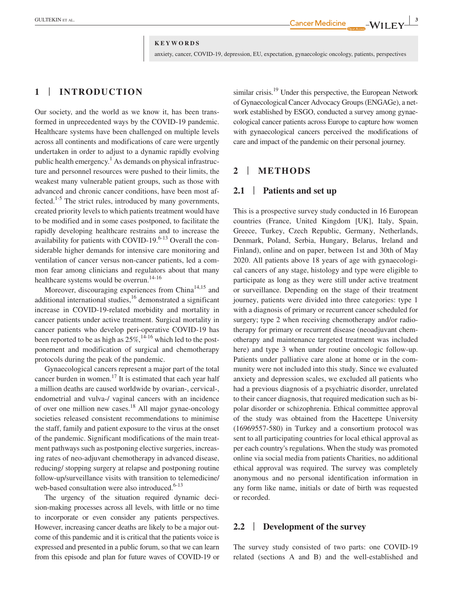#### **KEYWORDS**

anxiety, cancer, COVID-19, depression, EU, expectation, gynaecologic oncology, patients, perspectives

# **1** | **INTRODUCTION**

Our society, and the world as we know it, has been transformed in unprecedented ways by the COVID-19 pandemic. Healthcare systems have been challenged on multiple levels across all continents and modifications of care were urgently undertaken in order to adjust to a dynamic rapidly evolving public health emergency.<sup>1</sup> As demands on physical infrastructure and personnel resources were pushed to their limits, the weakest many vulnerable patient groups, such as those with advanced and chronic cancer conditions, have been most affected.<sup>1-5</sup> The strict rules, introduced by many governments, created priority levels to which patients treatment would have to be modified and in some cases postponed, to facilitate the rapidly developing healthcare restrains and to increase the availability for patients with COVID-19. $6-13$  Overall the considerable higher demands for intensive care monitoring and ventilation of cancer versus non-cancer patients, led a common fear among clinicians and regulators about that many healthcare systems would be overrun.<sup>14-16</sup>

Moreover, discouraging experiences from China<sup>14,15</sup> and additional international studies, $16$  demonstrated a significant increase in COVID-19-related morbidity and mortality in cancer patients under active treatment. Surgical mortality in cancer patients who develop peri-operative COVID-19 has been reported to be as high as  $25\%$ , <sup>14-16</sup> which led to the postponement and modification of surgical and chemotherapy protocols during the peak of the pandemic.

Gynaecological cancers represent a major part of the total cancer burden in women. $17$  It is estimated that each year half a million deaths are caused worldwide by ovarian-, cervical-, endometrial and vulva-/ vaginal cancers with an incidence of over one million new cases.<sup>18</sup> All major gynae-oncology societies released consistent recommendations to minimise the staff, family and patient exposure to the virus at the onset of the pandemic. Significant modifications of the main treatment pathways such as postponing elective surgeries, increasing rates of neo-adjuvant chemotherapy in advanced disease, reducing/ stopping surgery at relapse and postponing routine follow-up/surveillance visits with transition to telemedicine/ web-based consultation were also introduced.<sup>6-13</sup>

The urgency of the situation required dynamic decision-making processes across all levels, with little or no time to incorporate or even consider any patients perspectives. However, increasing cancer deaths are likely to be a major outcome of this pandemic and it is critical that the patients voice is expressed and presented in a public forum, so that we can learn from this episode and plan for future waves of COVID-19 or similar crisis.<sup>19</sup> Under this perspective, the European Network of Gynaecological Cancer Advocacy Groups (ENGAGe), a network established by ESGO, conducted a survey among gynaecological cancer patients across Europe to capture how women with gynaecological cancers perceived the modifications of care and impact of the pandemic on their personal journey.

#### **2** | **METHODS**

#### **2.1** | **Patients and set up**

This is a prospective survey study conducted in 16 European countries (France, United Kingdom [UK], Italy, Spain, Greece, Turkey, Czech Republic, Germany, Netherlands, Denmark, Poland, Serbia, Hungary, Belarus, Ireland and Finland), online and on paper, between 1st and 30th of May 2020. All patients above 18 years of age with gynaecological cancers of any stage, histology and type were eligible to participate as long as they were still under active treatment or surveillance. Depending on the stage of their treatment journey, patients were divided into three categories: type 1 with a diagnosis of primary or recurrent cancer scheduled for surgery; type 2 when receiving chemotherapy and/or radiotherapy for primary or recurrent disease (neoadjuvant chemotherapy and maintenance targeted treatment was included here) and type 3 when under routine oncologic follow-up. Patients under palliative care alone at home or in the community were not included into this study. Since we evaluated anxiety and depression scales, we excluded all patients who had a previous diagnosis of a psychiatric disorder, unrelated to their cancer diagnosis, that required medication such as bipolar disorder or schizophrenia. Ethical committee approval of the study was obtained from the Hacettepe University (16969557-580) in Turkey and a consortium protocol was sent to all participating countries for local ethical approval as per each country's regulations. When the study was promoted online via social media from patients Charities, no additional ethical approval was required. The survey was completely anonymous and no personal identification information in any form like name, initials or date of birth was requested or recorded.

#### **2.2** | **Development of the survey**

The survey study consisted of two parts: one COVID-19 related (sections A and B) and the well-established and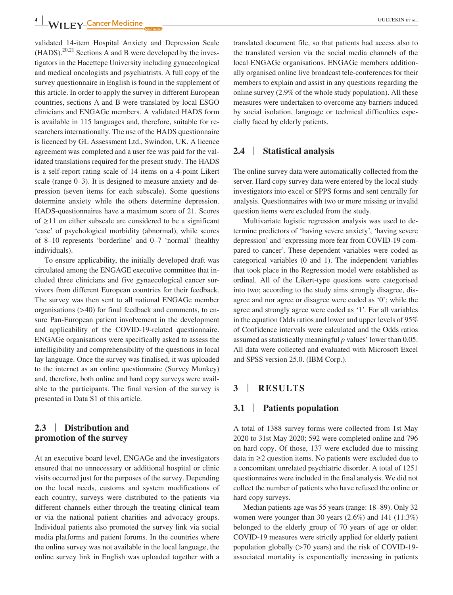validated 14-item Hospital Anxiety and Depression Scale  $(HADS)$ .<sup>20,21</sup> Sections A and B were developed by the investigators in the Hacettepe University including gynaecological and medical oncologists and psychiatrists. A full copy of the survey questionnaire in English is found in the supplement of this article. In order to apply the survey in different European countries, sections A and B were translated by local ESGO clinicians and ENGAGe members. A validated HADS form is available in 115 languages and, therefore, suitable for researchers internationally. The use of the HADS questionnaire is licenced by GL Assessment Ltd., Swindon, UK. A licence agreement was completed and a user fee was paid for the validated translations required for the present study. The HADS is a self-report rating scale of 14 items on a 4-point Likert scale (range 0–3). It is designed to measure anxiety and depression (seven items for each subscale). Some questions determine anxiety while the others determine depression. HADS-questionnaires have a maximum score of 21. Scores of  $\geq$ 11 on either subscale are considered to be a significant 'case' of psychological morbidity (abnormal), while scores of 8–10 represents 'borderline' and 0–7 'normal' (healthy individuals).

To ensure applicability, the initially developed draft was circulated among the ENGAGE executive committee that included three clinicians and five gynaecological cancer survivors from different European countries for their feedback. The survey was then sent to all national ENGAGe member organisations (>40) for final feedback and comments, to ensure Pan-European patient involvement in the development and applicability of the COVID-19-related questionnaire. ENGAGe organisations were specifically asked to assess the intelligibility and comprehensibility of the questions in local lay language. Once the survey was finalised, it was uploaded to the internet as an online questionnaire (Survey Monkey) and, therefore, both online and hard copy surveys were available to the participants. The final version of the survey is presented in Data S1 of this article.

## **2.3** | **Distribution and promotion of the survey**

At an executive board level, ENGAGe and the investigators ensured that no unnecessary or additional hospital or clinic visits occurred just for the purposes of the survey. Depending on the local needs, customs and system modifications of each country, surveys were distributed to the patients via different channels either through the treating clinical team or via the national patient charities and advocacy groups. Individual patients also promoted the survey link via social media platforms and patient forums. In the countries where the online survey was not available in the local language, the online survey link in English was uploaded together with a

translated document file, so that patients had access also to the translated version via the social media channels of the local ENGAGe organisations. ENGAGe members additionally organised online live broadcast tele-conferences for their members to explain and assist in any questions regarding the online survey (2.9% of the whole study population). All these measures were undertaken to overcome any barriers induced by social isolation, language or technical difficulties especially faced by elderly patients.

#### **2.4** | **Statistical analysis**

The online survey data were automatically collected from the server. Hard copy survey data were entered by the local study investigators into excel or SPPS forms and sent centrally for analysis. Questionnaires with two or more missing or invalid question items were excluded from the study.

Multivariate logistic regression analysis was used to determine predictors of 'having severe anxiety', 'having severe depression' and 'expressing more fear from COVID-19 compared to cancer'. These dependent variables were coded as categorical variables (0 and 1). The independent variables that took place in the Regression model were established as ordinal. All of the Likert-type questions were categorised into two; according to the study aims strongly disagree, disagree and nor agree or disagree were coded as '0'; while the agree and strongly agree were coded as '1'. For all variables in the equation Odds ratios and lower and upper levels of 95% of Confidence intervals were calculated and the Odds ratios assumed as statistically meaningful *p* values' lower than 0.05. All data were collected and evaluated with Microsoft Excel and SPSS version 25.0. (IBM Corp.).

## **3** | **RESULTS**

#### **3.1** | **Patients population**

A total of 1388 survey forms were collected from 1st May 2020 to 31st May 2020; 592 were completed online and 796 on hard copy. Of those, 137 were excluded due to missing data in ≥2 question items. No patients were excluded due to a concomitant unrelated psychiatric disorder. A total of 1251 questionnaires were included in the final analysis. We did not collect the number of patients who have refused the online or hard copy surveys.

Median patients age was 55 years (range: 18–89). Only 32 women were younger than 30 years (2.6%) and 141 (11.3%) belonged to the elderly group of 70 years of age or older. COVID-19 measures were strictly applied for elderly patient population globally (>70 years) and the risk of COVID-19 associated mortality is exponentially increasing in patients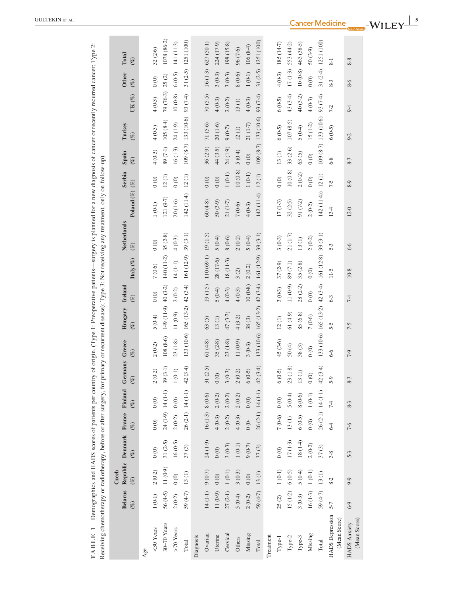| Receiving chemotherapy or radiotherapy, before or after surgery, for primary or recurrent disease); Type 3: Not receiving any treatment, only on follow-up) |                          |                                        |                                           |                |                                        |                                        |                  |                                |                                        |                                        |                    |                      |                                        |                                        |                       |           |                                        |                     |
|-------------------------------------------------------------------------------------------------------------------------------------------------------------|--------------------------|----------------------------------------|-------------------------------------------|----------------|----------------------------------------|----------------------------------------|------------------|--------------------------------|----------------------------------------|----------------------------------------|--------------------|----------------------|----------------------------------------|----------------------------------------|-----------------------|-----------|----------------------------------------|---------------------|
|                                                                                                                                                             | <b>Belarus</b><br>$(\%)$ | Czech<br>$(\%)$                        | Republic Denmark France Finland<br>$(\%)$ | $(\%)$         | $(\%)$                                 | Germany<br>(%)                         | Greece<br>$(\%)$ | Hungary<br>(%)                 | Ireland<br>$(\%)$                      | Italy $(\%)$                           | Netherlands<br>(%) | Poland $(\%)$ $(\%)$ | Serbia                                 | Spain<br>$(\%)$                        | Turkey<br>$(\%)$      | UK $(%)$  | <b>Other</b><br>$(\%)$                 | Total<br>$(\%)$     |
| <30 Years<br>Age                                                                                                                                            | 1(0.1)                   | $2\ (0.2)$                             | (0)                                       | (0)            | $\begin{pmatrix} 0 \\ 0 \end{pmatrix}$ | (0.2)<br>$\mathcal{L}$                 | 2(0.2)           | 5(0.4)                         | $\begin{matrix} 0 \\ 0 \end{matrix}$   | 7(0.6)                                 | 0(0)               | 1(0.1)               | $\begin{pmatrix} 0 \\ 0 \end{pmatrix}$ | 4(0.3)                                 | 4(0.3)                | 4(0.3)    | $\begin{matrix} 0 \\ 0 \end{matrix}$   | 32(2.6)             |
| 30-70 Years                                                                                                                                                 | 56(4.5)                  | 11(0.9)                                | 31(2.5)                                   |                | 24 (1.9) 14 (1.1)                      | (3.1)<br>$\mathcal{E}$                 | 108(8.6)         | 149 (11.9)                     | 40(3.2)                                | 140 (11.2)                             | 35(2.8)            | 121(9.7)             | 12(1)                                  | 89 (7.1)                               | 105(8.4)              | 79 (76.3) | 25(2)                                  | 1078 (86.2)         |
| >70 Years                                                                                                                                                   | $2\ (0.2)$               | (0)                                    | 16(0.5)                                   | 2(0.2) 0(0)    |                                        | (0.1)                                  | 23(1.8)          | 11(0.9)                        | 2(0.2)                                 | 14(1.1)                                | 4(0.3)             | 20(1.6)              | (0)                                    | 16(1.3)                                | 24 (1.9)              | 10(0.8)   | 6(0.5)                                 | 141 (11.3)          |
| Total                                                                                                                                                       | 59 (4.7)                 | 13(1)                                  | 37(3)                                     |                | 26 (2.1) 14 (1.1)                      | (3.4)<br>$\ddot{c}$                    |                  | 133 (10-6) 165 (13-2)          | 42 (3-4)                               | 161 (12.9)                             | 39(3.1)            | 142 (11.4)           | 12(1)                                  |                                        | 109 (8-7) 133 (10-6)  | 93 (7.4)  |                                        | 31 (2.5) 1251 (100) |
| Diagnosis                                                                                                                                                   |                          |                                        |                                           |                |                                        |                                        |                  |                                |                                        |                                        |                    |                      |                                        |                                        |                       |           |                                        |                     |
| Ovarian                                                                                                                                                     | 14(1.1)                  | 9(0.7)                                 | 24(1.9)                                   | 16(1.3) 8(0.6) |                                        | (2.5)<br>$\overline{31}$               | 61(4.8)          | 63(5)                          | 19(1.5)                                | 110 (69.1)                             | 19(1.5)            | 60(4.8)              | (0)                                    | 36 (2.9)                               | 71(5.6)               | 70(5.5)   |                                        | 16(1.3) 627(50.1)   |
| Uterine                                                                                                                                                     | 11(0.9)                  | $\begin{pmatrix} 0 \\ 0 \end{pmatrix}$ | (0)                                       | 4(0.3)         | $2\ (0.2)$                             | $\odot$<br>$\circ$                     | 35 (2.8)         | 13(1)                          | 5(0.4)                                 | 28 (17.6)                              | 5(0.4)             | 50(3.9)              | (0)                                    | 44 (3.5)                               | 20(1.6)               | 4(0.3)    | 3(0.3)                                 | 224 (17.9)          |
| Cervical                                                                                                                                                    | 27(2.1)                  | $1\left( 0.1\right)$                   | 3(0.3)                                    | 2(0.2)         | 2(0.2)                                 | (0.3)<br>3                             | 23(1.8)          | 47 (3.7)                       | 4(0.3)                                 | 18 (11.3)                              | 8(0.6)             | 21(1.7)              | $1(0.1)$                               | 24 (1.9)                               | 9(0.7)                | 2(0.2)    | 3(0.3)                                 | 198 (15.8)          |
| Others                                                                                                                                                      | 5(0.4)                   | 3(0.3)                                 | $1(0.1)$                                  | 4(0.3)         | $2\ (0.2)$                             | (0.2)<br>$\mathcal{L}$                 | 11(0.9)          | 4(3.2)                         | 4(0.3)                                 | 3(2)                                   | 2(0.2)             | 7(0.6)               | 10(0.8)                                | 5(0.4)                                 | 12(1)                 | 13(1)     | (0.6)                                  | 96 (7.6)            |
| Missing                                                                                                                                                     | 2(0.2)                   | (0)                                    | 9(0.7)                                    | $\ddot{0}$ (0. | 0(0)                                   | (0.5)<br>$\circ$                       | 3(0.3)           | 38(3)                          | 10(0.8)                                | 2(0.2)                                 | 5(0.4)             | 4(0.3)               | $1(0.1)$                               | $\begin{pmatrix} 0 \\ 0 \end{pmatrix}$ | 21(1.7)               | 4(0.3)    | 1(0.1)                                 | 106(8.4)            |
| Total                                                                                                                                                       | 59 (4.7)                 | 13(1)                                  | 37(3)                                     |                | $26(2.1)$ 14 (1.1)                     | (3.4)<br>42                            |                  | 133 (10.6) 165 (13.2) 42 (3.4) |                                        | 161 (12.9)                             | 39(3.1)            | 142 (11.4)           | 12(1)                                  |                                        | $109(8.7)$ 133 (10.6) | 93 (7.4)  |                                        | 31 (2.5) 1251 (100) |
| Treatment                                                                                                                                                   |                          |                                        |                                           |                |                                        |                                        |                  |                                |                                        |                                        |                    |                      |                                        |                                        |                       |           |                                        |                     |
| Type-1                                                                                                                                                      | 25(2)                    | $1\left( 0\text{-}1\right)$            | (0)                                       | 7(0.6) 0(0)    |                                        | (0.5)<br>5                             | 45 (3.6)         | 12(1)                          | 3(0.3)                                 | 37 (2.9)                               | 3(0.3)             | 17(1.3)              | $\begin{pmatrix} 0 \\ 0 \end{pmatrix}$ | 13(1)                                  | 6(0.5)                | 6(0.5)    | 4(0.3)                                 | 185 (14.7)          |
| Type-2                                                                                                                                                      | $15(1-2)$                | $6(0.5)$                               | 17(1.3)                                   | 13(1)          | 5(0.4)                                 | (1.8)<br>Z                             | 50(4)            | 61(4.9)                        | 11(0.9)                                | 89 (7.1)                               | 21(1.7)            | 32(2.5)              | 10(0.8)                                | 33 (2.6)                               | 107(8.5)              | 43 (3-4)  | $17(1.3)$ 553 $(44.2)$                 |                     |
| Type-3                                                                                                                                                      | 3(0.3)                   | 5(0.4)                                 | 18 $(1.4)$                                | 6(0.5)         | $8(0.6)$                               | $\ominus$<br>$\Xi$                     | 38(3)            | 85 (6.8)                       | 28 (2.2)                               | 35(2.8)                                | 13(1)              | 91(7.2)              | 2(0.2)                                 | 63(5)                                  | 5(0.4)                | 40(3.2)   | 10(0.8)                                | 463 (38.5)          |
| Missing                                                                                                                                                     | 16(1.3)                  | $1 \, (0.1)$                           | $2\ (0.2)$                                | (0)            | $1(0.1)$                               | $\begin{pmatrix} 0 \\ 0 \end{pmatrix}$ | (0)              | 7(0.6)                         | $\begin{pmatrix} 0 \\ 0 \end{pmatrix}$ | $\begin{pmatrix} 0 \\ 0 \end{pmatrix}$ | 2(0.2)             | 2(0.2)               | $\begin{pmatrix} 0 \\ 0 \end{pmatrix}$ | 0(0)                                   | 15(1.2)               | 4(0.3)    | $\begin{pmatrix} 0 \\ 0 \end{pmatrix}$ | 50 (3.9)            |
| Total                                                                                                                                                       | 59 (4.7)                 | 13(1)                                  | 37(3)                                     |                | $26(2.1)$ 14 (1.1)                     | $(3-4)$<br>42                          |                  | 133 (10-6) 165 (13-2)          | 42 (3.4)                               | 161 (12.8)                             | 39(3.1)            | 142(11.4)            | 12(1)                                  |                                        | 109 (8.7) 133 (10.6)  | 93 (7.4)  | 31 $(2.4)$                             | 1251 (100)          |
| <b>HADS</b> Depression<br>(Mean Score)                                                                                                                      | 5.7                      | 8.2                                    | 3.8                                       | 6.4            | 7.4                                    | 5.9                                    | $6-6$            | 5.5                            | 6.3                                    | 11.5                                   | 5.3                | 13.4                 | 7.5                                    | 6.8                                    | 6(0.5)                | 7.2       | 8.3                                    | $\overline{\cdot}$  |
| (Mean Score)<br><b>HADS</b> Anxiety                                                                                                                         | 6.9                      | 9.9                                    | 5.3                                       | 7.6            | 8.3                                    | 8.3                                    | 7.9              | 7.5                            | 7.4                                    | 10.8                                   | $6-6$              | 12.0                 | 8.9                                    | 8.3                                    | 9.2                   | 9.4       | 8.6                                    | 8.8                 |

TABLE 1 Demographics and HADS scores of patients per country of origin. (Type 1: Preoperative patients—surgery is planned for a new diagnosis of cancer or recently recurred cancer; Type 2: **TABLE 1** Demographics and HADS scores of patients per country of origin. (Type 1: Preoperative patients––surgery is planned for a new diagnosis of cancer or recently recurred cancer; Type 2:  $-WILEY$ **5**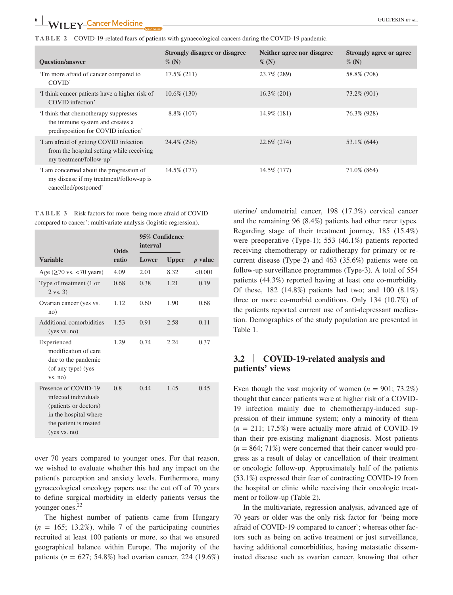**TABLE 2** COVID-19-related fears of patients with gynaecological cancers during the COVID-19 pandemic.

| <b>GULTEKIN ET AL.</b> |  |  |
|------------------------|--|--|
|------------------------|--|--|

| <b>Ouestion/answer</b>                                                                                          | <b>Strongly disagree or disagree</b><br>$\%$ (N) | Neither agree nor disagree<br>$\%$ (N) | <b>Strongly agree or agree</b><br>$\%$ (N) |
|-----------------------------------------------------------------------------------------------------------------|--------------------------------------------------|----------------------------------------|--------------------------------------------|
| T'm more afraid of cancer compared to<br>COVID'                                                                 | $17.5\%$ (211)                                   | 23.7% (289)                            | 58.8% (708)                                |
| I think cancer patients have a higher risk of<br>COVID infection'                                               | $10.6\%$ (130)                                   | $16.3\%$ (201)                         | 73.2\% (901)                               |
| I think that chemotherapy suppresses<br>the immune system and creates a<br>predisposition for COVID infection'  | $8.8\%$ (107)                                    | 14.9\% (181)                           | 76.3% (928)                                |
| 'I am afraid of getting COVID infection<br>from the hospital setting while receiving<br>my treatment/follow-up' | 24.4\% (296)                                     | $22.6\%$ (274)                         | 53.1% (644)                                |
| If am concerned about the progression of<br>my disease if my treatment/follow-up is<br>cancelled/postponed'     | 14.5% (177)                                      | 14.5% (177)                            | 71.0% (864)                                |

**TABLE 3** Risk factors for more 'being more afraid of COVID compared to cancer': multivariate analysis (logistic regression).

|                                                                                                                                          | <b>Odds</b> | 95% Confidence<br>interval |              |                |
|------------------------------------------------------------------------------------------------------------------------------------------|-------------|----------------------------|--------------|----------------|
| <b>Variable</b>                                                                                                                          | ratio       | Lower                      | <b>Upper</b> | <i>p</i> value |
| Age $(\geq 70 \text{ vs.} < 70 \text{ years})$                                                                                           | 4.09        | 2.01                       | 8.32         | < 0.001        |
| Type of treatment (1 or<br>$2 \text{ vs. } 3)$                                                                                           | 0.68        | 0.38                       | 1.21         | 0.19           |
| Ovarian cancer (yes vs.<br>no)                                                                                                           | 1.12        | 0.60                       | 1.90         | 0.68           |
| Additional comorbidities<br>(yes vs. no)                                                                                                 | 1.53        | 0.91                       | 2.58         | 0.11           |
| Experienced<br>modification of care<br>due to the pandemic<br>(of any type) (yes<br>vs. no)                                              | 1.29        | 0.74                       | 2.24         | 0.37           |
| Presence of COVID-19<br>infected individuals<br>(patients or doctors)<br>in the hospital where<br>the patient is treated<br>(yes vs. no) | 0.8         | 0.44                       | 1.45         | 0.45           |

over 70 years compared to younger ones. For that reason, we wished to evaluate whether this had any impact on the patient's perception and anxiety levels. Furthermore, many gynaecological oncology papers use the cut off of 70 years to define surgical morbidity in elderly patients versus the younger ones.<sup>22</sup>

The highest number of patients came from Hungary  $(n = 165; 13.2\%)$ , while 7 of the participating countries recruited at least 100 patients or more, so that we ensured geographical balance within Europe. The majority of the patients ( $n = 627$ ; 54.8%) had ovarian cancer, 224 (19.6%) uterine/ endometrial cancer, 198 (17.3%) cervical cancer and the remaining 96 (8.4%) patients had other rarer types. Regarding stage of their treatment journey, 185 (15.4%) were preoperative (Type-1); 553 (46.1%) patients reported receiving chemotherapy or radiotherapy for primary or recurrent disease (Type-2) and 463 (35.6%) patients were on follow-up surveillance programmes (Type-3). A total of 554 patients (44.3%) reported having at least one co-morbidity. Of these, 182 (14.8%) patients had two; and 100 (8.1%) three or more co-morbid conditions. Only 134 (10.7%) of the patients reported current use of anti-depressant medication. Demographics of the study population are presented in Table 1.

#### **3.2** | **COVID-19-related analysis and patients' views**

Even though the vast majority of women  $(n = 901, 73.2\%)$ thought that cancer patients were at higher risk of a COVID-19 infection mainly due to chemotherapy-induced suppression of their immune system; only a minority of them  $(n = 211; 17.5%)$  were actually more afraid of COVID-19 than their pre-existing malignant diagnosis. Most patients  $(n = 864; 71\%)$  were concerned that their cancer would progress as a result of delay or cancellation of their treatment or oncologic follow-up. Approximately half of the patients (53.1%) expressed their fear of contracting COVID-19 from the hospital or clinic while receiving their oncologic treatment or follow-up (Table 2).

In the multivariate, regression analysis, advanced age of 70 years or older was the only risk factor for 'being more afraid of COVID-19 compared to cancer'; whereas other factors such as being on active treatment or just surveillance, having additional comorbidities, having metastatic disseminated disease such as ovarian cancer, knowing that other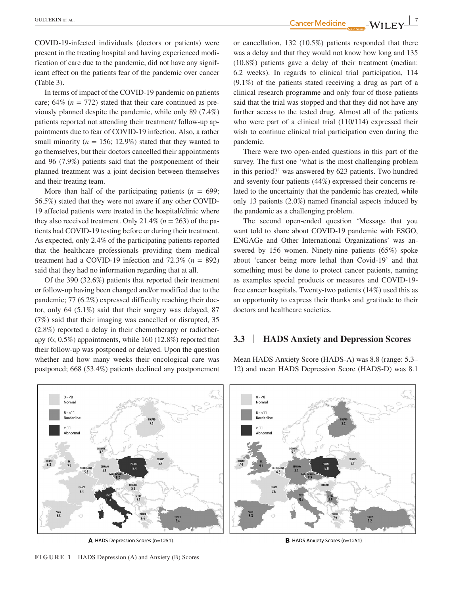EXTERIN ET AL. *Cancer Medicine \_\_\_\_WII F.* **Y<sup>\_7</sup>** 

COVID-19-infected individuals (doctors or patients) were present in the treating hospital and having experienced modification of care due to the pandemic, did not have any significant effect on the patients fear of the pandemic over cancer (Table 3).

In terms of impact of the COVID-19 pandemic on patients care;  $64\%$  ( $n = 772$ ) stated that their care continued as previously planned despite the pandemic, while only 89 (7.4%) patients reported not attending their treatment/ follow-up appointments due to fear of COVID-19 infection. Also, a rather small minority ( $n = 156$ ; 12.9%) stated that they wanted to go themselves, but their doctors cancelled their appointments and 96 (7.9%) patients said that the postponement of their planned treatment was a joint decision between themselves and their treating team.

More than half of the participating patients  $(n = 699)$ ; 56.5%) stated that they were not aware if any other COVID-19 affected patients were treated in the hospital/clinic where they also received treatment. Only 21.4%  $(n = 263)$  of the patients had COVID-19 testing before or during their treatment. As expected, only 2.4% of the participating patients reported that the healthcare professionals providing them medical treatment had a COVID-19 infection and  $72.3\%$  ( $n = 892$ ) said that they had no information regarding that at all.

Of the 390 (32.6%) patients that reported their treatment or follow-up having been changed and/or modified due to the pandemic; 77 (6.2%) expressed difficulty reaching their doctor, only 64 (5.1%) said that their surgery was delayed, 87 (7%) said that their imaging was cancelled or disrupted, 35 (2.8%) reported a delay in their chemotherapy or radiotherapy (6; 0.5%) appointments, while 160 (12.8%) reported that their follow-up was postponed or delayed. Upon the question whether and how many weeks their oncological care was postponed; 668 (53.4%) patients declined any postponement or cancellation, 132 (10.5%) patients responded that there was a delay and that they would not know how long and 135 (10.8%) patients gave a delay of their treatment (median: 6.2 weeks). In regards to clinical trial participation, 114 (9.1%) of the patients stated receiving a drug as part of a clinical research programme and only four of those patients said that the trial was stopped and that they did not have any further access to the tested drug. Almost all of the patients who were part of a clinical trial (110/114) expressed their wish to continue clinical trial participation even during the pandemic.

There were two open-ended questions in this part of the survey. The first one 'what is the most challenging problem in this period?' was answered by 623 patients. Two hundred and seventy-four patients (44%) expressed their concerns related to the uncertainty that the pandemic has created, while only 13 patients (2.0%) named financial aspects induced by the pandemic as a challenging problem.

The second open-ended question 'Message that you want told to share about COVID-19 pandemic with ESGO, ENGAGe and Other International Organizations' was answered by 156 women. Ninety-nine patients (65%) spoke about 'cancer being more lethal than Covid-19' and that something must be done to protect cancer patients, naming as examples special products or measures and COVID-19 free cancer hospitals. Twenty-two patients (14%) used this as an opportunity to express their thanks and gratitude to their doctors and healthcare societies.

#### **3.3** | **HADS Anxiety and Depression Scores**



A HADS Depression Scores (n=1251)

**FIGURE 1** HADS Depression (A) and Anxiety (B) Scores

Mean HADS Anxiety Score (HADS-A) was 8.8 (range: 5.3– 12) and mean HADS Depression Score (HADS-D) was 8.1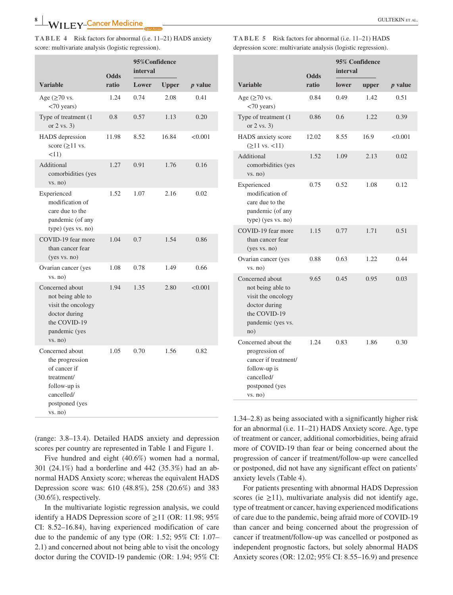|  |                                                     | TABLE 4 Risk factors for abnormal (i.e. 11–21) HADS anxiety |
|--|-----------------------------------------------------|-------------------------------------------------------------|
|  | score: multivariate analysis (logistic regression). |                                                             |

|                                                                                                                             | <b>Odds</b> | 95%Confidence<br>interval |              |           |
|-----------------------------------------------------------------------------------------------------------------------------|-------------|---------------------------|--------------|-----------|
| <b>Variable</b>                                                                                                             | ratio       | Lower                     | <b>Upper</b> | $p$ value |
| Age ( $\geq$ 70 vs.<br>$<$ 70 years)                                                                                        | 1.24        | 0.74                      | 2.08         | 0.41      |
| Type of treatment (1)<br>or $2 \text{ vs. } 3$                                                                              | 0.8         | 0.57                      | 1.13         | 0.20      |
| <b>HADS</b> depression<br>score $(\geq 11$ vs.<br><11)                                                                      | 11.98       | 8.52                      | 16.84        | < 0.001   |
| Additional<br>comorbidities (yes<br>vs. no)                                                                                 | 1.27        | 0.91                      | 1.76         | 0.16      |
| Experienced<br>modification of<br>care due to the<br>pandemic (of any<br>type) (yes vs. no)                                 | 1.52        | 1.07                      | 2.16         | 0.02      |
| COVID-19 fear more<br>than cancer fear<br>(yes vs. no)                                                                      | 1.04        | 0.7                       | 1.54         | 0.86      |
| Ovarian cancer (yes<br>vs. no)                                                                                              | 1.08        | 0.78                      | 1.49         | 0.66      |
| Concerned about<br>not being able to<br>visit the oncology<br>doctor during<br>the COVID-19<br>pandemic (yes<br>vs. no)     | 1.94        | 1.35                      | 2.80         | < 0.001   |
| Concerned about<br>the progression<br>of cancer if<br>treatment/<br>follow-up is<br>cancelled/<br>postponed (yes<br>vs. no) | 1.05        | 0.70                      | 1.56         | 0.82      |

(range: 3.8–13.4). Detailed HADS anxiety and depression scores per country are represented in Table 1 and Figure 1. Five hundred and eight (40.6%) women had a normal,

301 (24.1%) had a borderline and 442 (35.3%) had an abnormal HADS Anxiety score; whereas the equivalent HADS Depression score was: 610 (48.8%), 258 (20.6%) and 383 (30.6%), respectively.

In the multivariate logistic regression analysis, we could identify a HADS Depression score of  $\geq$ 11 (OR: 11.98; 95%) CI: 8.52–16.84), having experienced modification of care due to the pandemic of any type (OR: 1.52; 95% CI: 1.07– 2.1) and concerned about not being able to visit the oncology doctor during the COVID-19 pandemic (OR: 1.94; 95% CI:

**TABLE 5** Risk factors for abnormal (i.e. 11–21) HADS depression score: multivariate analysis (logistic regression).

|                                                                                                                          | Odds  | interval | 95% Confidence |           |
|--------------------------------------------------------------------------------------------------------------------------|-------|----------|----------------|-----------|
| <b>Variable</b>                                                                                                          | ratio | lower    | upper          | $p$ value |
| Age $(\geq 70$ vs.<br><70 years)                                                                                         | 0.84  | 0.49     | 1.42           | 0.51      |
| Type of treatment (1)<br>or $2$ vs. $3)$                                                                                 | 0.86  | 0.6      | 1.22           | 0.39      |
| HADS anxiety score<br>$(≥11$ vs. <11)                                                                                    | 12.02 | 8.55     | 16.9           | < 0.001   |
| Additional<br>comorbidities (yes<br>vs. no)                                                                              | 1.52  | 1.09     | 2.13           | 0.02      |
| Experienced<br>modification of<br>care due to the<br>pandemic (of any<br>type) (yes vs. no)                              | 0.75  | 0.52     | 1.08           | 0.12      |
| COVID-19 fear more<br>than cancer fear<br>(yes vs. no)                                                                   | 1.15  | 0.77     | 1.71           | 0.51      |
| Ovarian cancer (yes<br>vs. no)                                                                                           | 0.88  | 0.63     | 1.22.          | 0.44      |
| Concerned about<br>not being able to<br>visit the oncology<br>doctor during<br>the COVID-19<br>pandemic (yes vs.<br>no)  | 9.65  | 0.45     | 0.95           | 0.03      |
| Concerned about the<br>progression of<br>cancer if treatment/<br>follow-up is<br>cancelled/<br>postponed (yes<br>vs. no) | 1.24  | 0.83     | 1.86           | 0.30      |

1.34–2.8) as being associated with a significantly higher risk for an abnormal (i.e. 11–21) HADS Anxiety score. Age, type of treatment or cancer, additional comorbidities, being afraid more of COVID-19 than fear or being concerned about the progression of cancer if treatment/follow-up were cancelled or postponed, did not have any significant effect on patients' anxiety levels (Table 4).

For patients presenting with abnormal HADS Depression scores (ie  $\geq$ 11), multivariate analysis did not identify age, type of treatment or cancer, having experienced modifications of care due to the pandemic, being afraid more of COVID-19 than cancer and being concerned about the progression of cancer if treatment/follow-up was cancelled or postponed as independent prognostic factors, but solely abnormal HADS Anxiety scores (OR: 12.02; 95% CI: 8.55–16.9) and presence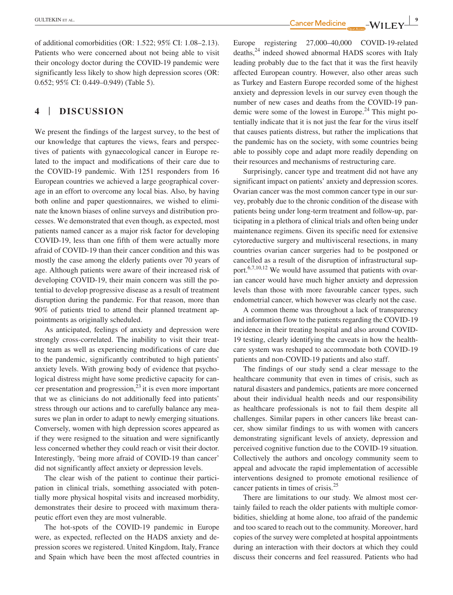of additional comorbidities (OR: 1.522; 95% CI: 1.08–2.13). Patients who were concerned about not being able to visit their oncology doctor during the COVID-19 pandemic were significantly less likely to show high depression scores (OR: 0.652; 95% CI: 0.449–0.949) (Table 5).

# **4** | **DISCUSSION**

We present the findings of the largest survey, to the best of our knowledge that captures the views, fears and perspectives of patients with gynaecological cancer in Europe related to the impact and modifications of their care due to the COVID-19 pandemic. With 1251 responders from 16 European countries we achieved a large geographical coverage in an effort to overcome any local bias. Also, by having both online and paper questionnaires, we wished to eliminate the known biases of online surveys and distribution processes. We demonstrated that even though, as expected, most patients named cancer as a major risk factor for developing COVID-19, less than one fifth of them were actually more afraid of COVID-19 than their cancer condition and this was mostly the case among the elderly patients over 70 years of age. Although patients were aware of their increased risk of developing COVID-19, their main concern was still the potential to develop progressive disease as a result of treatment disruption during the pandemic. For that reason, more than 90% of patients tried to attend their planned treatment appointments as originally scheduled.

As anticipated, feelings of anxiety and depression were strongly cross-correlated. The inability to visit their treating team as well as experiencing modifications of care due to the pandemic, significantly contributed to high patients' anxiety levels. With growing body of evidence that psychological distress might have some predictive capacity for cancer presentation and progression, $2^{\overline{2}3}$  it is even more important that we as clinicians do not additionally feed into patients' stress through our actions and to carefully balance any measures we plan in order to adapt to newly emerging situations. Conversely, women with high depression scores appeared as if they were resigned to the situation and were significantly less concerned whether they could reach or visit their doctor. Interestingly, 'being more afraid of COVID-19 than cancer' did not significantly affect anxiety or depression levels.

The clear wish of the patient to continue their participation in clinical trials, something associated with potentially more physical hospital visits and increased morbidity, demonstrates their desire to proceed with maximum therapeutic effort even they are most vulnerable.

The hot-spots of the COVID-19 pandemic in Europe were, as expected, reflected on the HADS anxiety and depression scores we registered. United Kingdom, Italy, France and Spain which have been the most affected countries in

 **|** GULTEKIN et al. **<sup>9</sup>**

Europe registering 27,000–40,000 COVID-19-related deaths, $^{24}$  indeed showed abnormal HADS scores with Italy leading probably due to the fact that it was the first heavily affected European country. However, also other areas such as Turkey and Eastern Europe recorded some of the highest anxiety and depression levels in our survey even though the number of new cases and deaths from the COVID-19 pandemic were some of the lowest in Europe.<sup>24</sup> This might potentially indicate that it is not just the fear for the virus itself that causes patients distress, but rather the implications that the pandemic has on the society, with some countries being able to possibly cope and adapt more readily depending on their resources and mechanisms of restructuring care.

Surprisingly, cancer type and treatment did not have any significant impact on patients' anxiety and depression scores. Ovarian cancer was the most common cancer type in our survey, probably due to the chronic condition of the disease with patients being under long-term treatment and follow-up, participating in a plethora of clinical trials and often being under maintenance regimens. Given its specific need for extensive cytoreductive surgery and multivisceral resections, in many countries ovarian cancer surgeries had to be postponed or cancelled as a result of the disruption of infrastructural support.<sup>6,7,10,12</sup> We would have assumed that patients with ovarian cancer would have much higher anxiety and depression levels than those with more favourable cancer types, such endometrial cancer, which however was clearly not the case.

A common theme was throughout a lack of transparency and information flow to the patients regarding the COVID-19 incidence in their treating hospital and also around COVID-19 testing, clearly identifying the caveats in how the healthcare system was reshaped to accommodate both COVID-19 patients and non-COVID-19 patients and also staff.

The findings of our study send a clear message to the healthcare community that even in times of crisis, such as natural disasters and pandemics, patients are more concerned about their individual health needs and our responsibility as healthcare professionals is not to fail them despite all challenges. Similar papers in other cancers like breast cancer, show similar findings to us with women with cancers demonstrating significant levels of anxiety, depression and perceived cognitive function due to the COVID-19 situation. Collectively the authors and oncology community seem to appeal and advocate the rapid implementation of accessible interventions designed to promote emotional resilience of cancer patients in times of crisis.<sup>25</sup>

There are limitations to our study. We almost most certainly failed to reach the older patients with multiple comorbidities, shielding at home alone, too afraid of the pandemic and too scared to reach out to the community. Moreover, hard copies of the survey were completed at hospital appointments during an interaction with their doctors at which they could discuss their concerns and feel reassured. Patients who had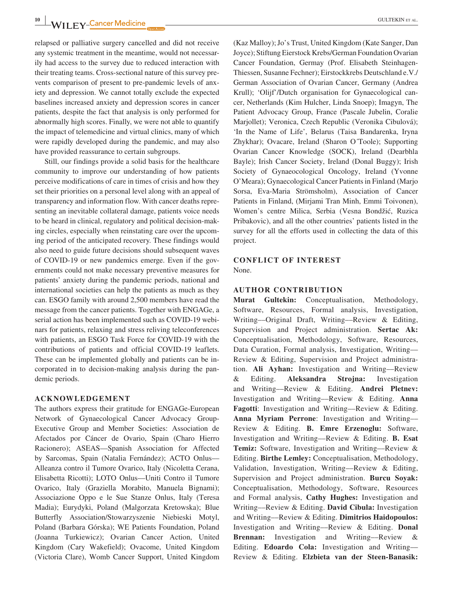relapsed or palliative surgery cancelled and did not receive any systemic treatment in the meantime, would not necessarily had access to the survey due to reduced interaction with their treating teams. Cross-sectional nature of this survey prevents comparison of present to pre-pandemic levels of anxiety and depression. We cannot totally exclude the expected baselines increased anxiety and depression scores in cancer patients, despite the fact that analysis is only performed for abnormally high scores. Finally, we were not able to quantify the impact of telemedicine and virtual clinics, many of which were rapidly developed during the pandemic, and may also have provided reassurance to certain subgroups.

Still, our findings provide a solid basis for the healthcare community to improve our understanding of how patients perceive modifications of care in times of crisis and how they set their priorities on a personal level along with an appeal of transparency and information flow. With cancer deaths representing an inevitable collateral damage, patients voice needs to be heard in clinical, regulatory and political decision-making circles, especially when reinstating care over the upcoming period of the anticipated recovery. These findings would also need to guide future decisions should subsequent waves of COVID-19 or new pandemics emerge. Even if the governments could not make necessary preventive measures for patients' anxiety during the pandemic periods, national and international societies can help the patients as much as they can. ESGO family with around 2,500 members have read the message from the cancer patients. Together with ENGAGe, a serial action has been implemented such as COVID-19 webinars for patients, relaxing and stress reliving teleconferences with patients, an ESGO Task Force for COVID-19 with the contributions of patients and official COVID-19 leaflets. These can be implemented globally and patients can be incorporated in to decision-making analysis during the pandemic periods.

#### **ACKNOWLEDGEMENT**

The authors express their gratitude for ENGAGe-European Network of Gynaecological Cancer Advocacy Group-Executive Group and Member Societies: Association de Afectados por Cáncer de Ovario, Spain (Charo Hierro Racionero); ASEAS––Spanish Association for Affected by Sarcomas, Spain (Natalia Fernández); ACTO Onlus–– Alleanza contro il Tumore Ovarico, Italy (Nicoletta Cerana, Elisabetta Ricotti); LOTO Onlus––Uniti Contro il Tumore Ovarico, Italy (Graziella Morabito, Manuela Bignami); Associazione Oppo e le Sue Stanze Onlus, Italy (Teresa Madia); Eurydyki, Poland (Malgorzata Kretowska); Blue Butterfly Association/Stowarzyszenie Niebieski Motyl, Poland (Barbara Górska); WE Patients Foundation, Poland (Joanna Turkiewicz); Ovarian Cancer Action, United Kingdom (Cary Wakefield); Ovacome, United Kingdom (Victoria Clare), Womb Cancer Support, United Kingdom

(Kaz Malloy); Jo's Trust, United Kingdom (Kate Sanger, Dan Joyce); Stiftung Eierstock Krebs/German Foundation Ovarian Cancer Foundation, Germay (Prof. Elisabeth Steinhagen-Thiessen, Susanne Fechner); Eirstockkrebs Deutschland e.V./ German Association of Ovarian Cancer, Germany (Andrea Krull); 'Olijf'/Dutch organisation for Gynaecological cancer, Netherlands (Kim Hulcher, Linda Snoep); Imagyn, The Patient Advocacy Group, France (Pascale Jubelin, Coralie Marjollet); Veronica, Czech Republic (Veronika Cibulová); 'In the Name of Life', Belarus (Taisa Bandarenka, Iryna Zhykhar); Ovacare, Ireland (Sharon O´Toole); Supporting Ovarian Cancer Knowledge (SOCK), Ireland (Dearbhla Bayle); Irish Cancer Society, Ireland (Donal Buggy); Irish Society of Gynaeocological Oncology, Ireland (Yvonne O'Meara); Gynaecological Cancer Patients in Finland (Marjo Sorsa, Eva-Maria Strömsholm), Association of Cancer Patients in Finland, (Mirjami Tran Minh, Emmi Toivonen), Women's centre Milica, Serbia (Vesna Bondžić, Ruzica Pribakovic), and all the other countries' patients listed in the survey for all the efforts used in collecting the data of this project.

# **CONFLICT OF INTEREST**

None.

#### **AUTHOR CONTRIBUTION**

**Murat Gultekin:** Conceptualisation, Methodology, Software, Resources, Formal analysis, Investigation, Writing––Original Draft, Writing––Review & Editing, Supervision and Project administration. **Sertac Ak:** Conceptualisation, Methodology, Software, Resources, Data Curation, Formal analysis, Investigation, Writing–– Review & Editing, Supervision and Project administration. **Ali Ayhan:** Investigation and Writing--Review & Editing. **Aleksandra Strojna:** Investigation & Editing. **Aleksandra Strojna:** Investigation and Writing––Review & Editing. **Andrei Pletnev:** Investigation and Writing––Review & Editing. **Anna Fagotti**: Investigation and Writing––Review & Editing. **Anna Myriam Perrone**: Investigation and Writing–– Review & Editing. **B. Emre Erzenoglu:** Software, Investigation and Writing––Review & Editing. **B. Esat Temiz:** Software, Investigation and Writing––Review & Editing. **Birthe Lemley:** Conceptualisation, Methodology, Validation, Investigation, Writing––Review & Editing, Supervision and Project administration. **Burcu Soyak:** Conceptualisation, Methodology, Software, Resources and Formal analysis, **Cathy Hughes:** Investigation and Writing––Review & Editing. **David Cibula:** Investigation and Writing––Review & Editing. **Dimitrios Haidopoulos:** Investigation and Writing––Review & Editing. **Donal Brennan:** Investigation and Writing––Review & Editing. **Edoardo Cola:** Investigation and Writing–– Review & Editing. **Elzbieta van der Steen-Banasik:**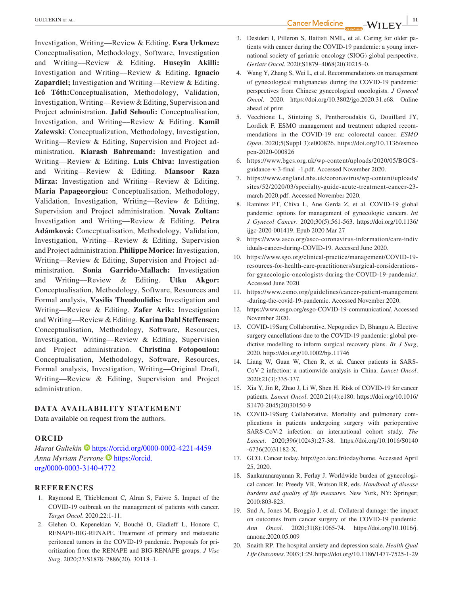Investigation, Writing––Review & Editing. **Esra Urkmez:** Conceptualisation, Methodology, Software, Investigation and Writing––Review & Editing. **Huseyin Akilli:** Investigation and Writing––Review & Editing. **Ignacio Zapardiel;** Investigation and Writing––Review & Editing. **Icó Tóth:**Conceptualisation, Methodology, Validation, Investigation, Writing––Review & Editing, Supervision and Project administration. **Jalid Sehouli:** Conceptualisation, Investigation, and Writing––Review & Editing. **Kamil Zalewski**: Conceptualization, Methodology, Investigation, Writing––Review & Editing, Supervision and Project administration. **Kiarash Bahremand:** Investigation and Writing––Review & Editing. **Luis Chiva:** Investigation and Writing––Review & Editing. **Mansoor Raza Mirza:** Investigation and Writing––Review & Editing. **Maria Papageorgiou:** Conceptualisation, Methodology, Validation, Investigation, Writing––Review & Editing, Supervision and Project administration. **Novak Zoltan:** Investigation and Writing––Review & Editing. **Petra Adámková:** Conceptualisation, Methodology, Validation, Investigation, Writing––Review & Editing, Supervision and Project administration. **Philippe Morice:** Investigation, Writing––Review & Editing, Supervision and Project administration. **Sonia Garrido-Mallach:** Investigation and Writing––Review & Editing. **Utku Akgor:** Conceptualisation, Methodology, Software, Resources and Formal analysis, **Vasilis Theodoulidis:** Investigation and Writing––Review & Editing. **Zafer Arik:** Investigation and Writing––Review & Editing. **Karina Dahl Steffensen:** Conceptualisation, Methodology, Software, Resources, Investigation, Writing––Review & Editing, Supervision and Project administration. **Christina Fotopoulou:** Conceptualisation, Methodology, Software, Resources, Formal analysis, Investigation, Writing––Original Draft, Writing––Review & Editing, Supervision and Project administration.

#### **DATA AVAILABILITY STATEMENT**

Data available on request from the authors.

#### **ORCID**

*Murat Gultekin* **•** <https://orcid.org/0000-0002-4221-4459> *Anna Myriam Perrone* [https://orcid.](https://orcid.org/0000-0003-3140-4772) [org/0000-0003-3140-4772](https://orcid.org/0000-0003-3140-4772)

#### **REFERENCES**

- 1. Raymond E, Thieblemont C, Alran S, Faivre S. Impact of the COVID-19 outbreak on the management of patients with cancer. *Target Oncol*. 2020;22:1-11.
- 2. Glehen O, Kepenekian V, Bouché O, Gladieff L, Honore C, RENAPE-BIG-RENAPE. Treatment of primary and metastatic peritoneal tumors in the COVID-19 pandemic. Proposals for prioritization from the RENAPE and BIG-RENAPE groups. *J Visc Surg*. 2020;23:S1878–7886(20), 30118–1.

3. Desideri I, Pilleron S, Battisti NML, et al. Caring for older patients with cancer during the COVID-19 pandemic: a young international society of geriatric oncology (SIOG) global perspective. *Geriatr Oncol*. 2020;S1879–4068(20)30215–0.

- 4. Wang Y, Zhang S, Wei L, et al. Recommendations on management of gynecological malignancies during the COVID-19 pandemic: perspectives from Chinese gynecological oncologists. *J Gynecol Oncol*. 2020. [https://doi.org/10.3802/jgo.2020.31.e68.](https://doi.org/10.3802/jgo.2020.31.e68) Online ahead of print
- 5. Vecchione L, Stintzing S, Pentheroudakis G, Douillard JY, Lordick F. ESMO management and treatment adapted recommendations in the COVID-19 era: colorectal cancer. *ESMO Open*. 2020;5(Suppl 3):e000826. [https://doi.org/10.1136/esmoo](https://doi.org/10.1136/esmoopen-2020-000826) [pen-2020-000826](https://doi.org/10.1136/esmoopen-2020-000826)
- 6. [https://www.bgcs.org.uk/wp-content/uploads/2020/05/BGCS](https://www.bgcs.org.uk/wp-content/uploads/2020/05/BGCS-guidance-v-3-final_-1.pdf)[guidance-v-3-final\\_-1.pdf.](https://www.bgcs.org.uk/wp-content/uploads/2020/05/BGCS-guidance-v-3-final_-1.pdf) Accessed November 2020.
- 7. [https://www.england.nhs.uk/coronavirus/wp-content/uploads/](https://www.england.nhs.uk/coronavirus/wp-content/uploads/sites/52/2020/03/specialty-guide-acute-treatment-cancer-23-march-2020.pdf) [sites/52/2020/03/specialty-guide-acute-treatment-cancer-23](https://www.england.nhs.uk/coronavirus/wp-content/uploads/sites/52/2020/03/specialty-guide-acute-treatment-cancer-23-march-2020.pdf) [march-2020.pdf](https://www.england.nhs.uk/coronavirus/wp-content/uploads/sites/52/2020/03/specialty-guide-acute-treatment-cancer-23-march-2020.pdf). Accessed November 2020.
- 8. Ramirez PT, Chiva L, Ane Gerda Z, et al. COVID-19 global pandemic: options for management of gynecologic cancers. *Int J Gynecol Cancer*. 2020;30(5):561-563. [https://doi.org/10.1136/](https://doi.org/10.1136/ijgc-2020-001419) [ijgc-2020-001419](https://doi.org/10.1136/ijgc-2020-001419). Epub 2020 Mar 27
- 9. [https://www.asco.org/asco-coronavirus-information/care-indiv](https://www.asco.org/asco-coronavirus-information/care-individuals-cancer-during-COVID-19) [iduals-cancer-during-COVID-19.](https://www.asco.org/asco-coronavirus-information/care-individuals-cancer-during-COVID-19) Accessed June 2020.
- 10. [https://www.sgo.org/clinical-practice/management/COVID-19](https://www.sgo.org/clinical-practice/management/COVID-19-resources-for-health-care-practitioners/surgical-considerations-for-gynecologic-oncologists-during-the-COVID-19-pandemic/) [resources-for-health-care-practitioners/surgical-considerations](https://www.sgo.org/clinical-practice/management/COVID-19-resources-for-health-care-practitioners/surgical-considerations-for-gynecologic-oncologists-during-the-COVID-19-pandemic/)[for-gynecologic-oncologists-during-the-COVID-19-pandemic/.](https://www.sgo.org/clinical-practice/management/COVID-19-resources-for-health-care-practitioners/surgical-considerations-for-gynecologic-oncologists-during-the-COVID-19-pandemic/) Accessed June 2020.
- 11. [https://www.esmo.org/guidelines/cancer-patient-management](https://www.esmo.org/guidelines/cancer-patient-management-during-the-covid-19-pandemic) [-during-the-covid-19-pandemic.](https://www.esmo.org/guidelines/cancer-patient-management-during-the-covid-19-pandemic) Accessed November 2020.
- 12. <https://www.esgo.org/esgo-COVID-19-communication/>. Accessed November 2020.
- 13. COVID-19Surg Collaborative, Nepogodiev D, Bhangu A. Elective surgery cancellations due to the COVID-19 pandemic: global predictive modelling to inform surgical recovery plans. *Br J Surg*, 2020.<https://doi.org/10.1002/bjs.11746>
- 14. Liang W, Guan W, Chen R, et al. Cancer patients in SARS-CoV-2 infection: a nationwide analysis in China. *Lancet Oncol*. 2020;21(3):335-337.
- 15. Xia Y, Jin R, Zhao J, Li W, Shen H. Risk of COVID-19 for cancer patients. *Lancet Oncol*. 2020;21(4):e180. [https://doi.org/10.1016/](https://doi.org/10.1016/S1470-2045(20)30150-9) [S1470-2045\(20\)30150-9](https://doi.org/10.1016/S1470-2045(20)30150-9)
- 16. COVID-19Surg Collaborative. Mortality and pulmonary complications in patients undergoing surgery with perioperative SARS-CoV-2 infection: an international cohort study. *The Lancet*. 2020;396(10243):27-38. [https://doi.org/10.1016/S0140](https://doi.org/10.1016/S0140-6736(20)31182-X) [-6736\(20\)31182-X.](https://doi.org/10.1016/S0140-6736(20)31182-X)
- 17. GCO. Cancer today. <http://gco.iarc.fr/today/home>. Accessed April 25, 2020.
- 18. Sankaranarayanan R, Ferlay J. Worldwide burden of gynecological cancer. In: Preedy VR, Watson RR, eds. *Handbook of disease burdens and quality of life measures*. New York, NY: Springer; 2010:803-823.
- 19. Sud A, Jones M, Broggio J, et al. Collateral damage: the impact on outcomes from cancer surgery of the COVID-19 pandemic. *Ann Oncol*. 2020;31(8):1065-74. [https://doi.org/10.1016/j.](https://doi.org/10.1016/j.annonc.2020.05.009) [annonc.2020.05.009](https://doi.org/10.1016/j.annonc.2020.05.009)
- 20. Snaith RP. The hospital anxiety and depression scale. *Health Qual Life Outcomes*. 2003;1:29.<https://doi.org/10.1186/1477-7525-1-29>